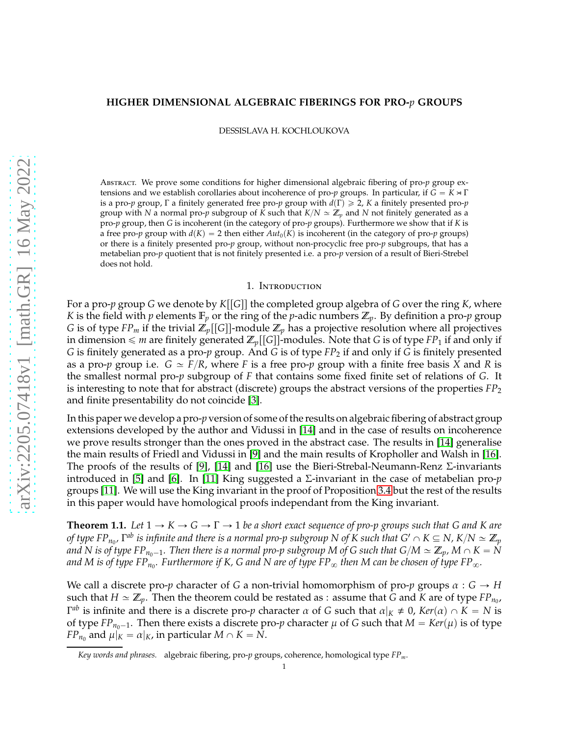### **HIGHER DIMENSIONAL ALGEBRAIC FIBERINGS FOR PRO-***p* **GROUPS**

DESSISLAVA H. KOCHLOUKOVA

Abstract. We prove some conditions for higher dimensional algebraic fibering of pro-*p* group extensions and we establish corollaries about incoherence of pro-*p* groups. In particular, if  $G = K \rtimes \Gamma$ is a pro-*p* group, Γ a finitely generated free pro-*p* group with  $d(Γ) ≥ 2$ , *K* a finitely presented pro-*p* group with *N* a normal pro-*p* subgroup of *K* such that  $K/N \simeq \mathbb{Z}_p$  and *N* not finitely generated as a pro-*p* group, then *G* is incoherent (in the category of pro-*p* groups). Furthermore we show that if *K* is a free pro-*p* group with  $d(K) = 2$  then either  $Aut_0(K)$  is incoherent (in the category of pro-*p* groups) or there is a finitely presented pro-*p* group, without non-procyclic free pro-*p* subgroups, that has a metabelian pro-*p* quotient that is not finitely presented i.e. a pro-*p* version of a result of Bieri-Strebel does not hold.

#### 1. Introduction

For a pro-*p* group *G* we denote by  $K[[G]]$  the completed group algebra of *G* over the ring *K*, where *K* is the field with *p* elements  $\mathbb{F}_p$  or the ring of the *p*-adic numbers  $\mathbb{Z}_p$ . By definition a pro-*p* group *G* is of type *FP<sub>m</sub>* if the trivial  $\mathbb{Z}_p[[G]]$ -module  $\mathbb{Z}_p$  has a projective resolution where all projectives in dimension  $\leq m$  are finitely generated  $\mathbb{Z}_p[[G]]$ -modules. Note that *G* is of type *FP*<sub>1</sub> if and only if *G* is finitely generated as a pro-*p* group. And *G* is of type *FP*<sup>2</sup> if and only if *G* is finitely presented as a pro-*p* group i.e.  $G \simeq F/R$ , where *F* is a free pro-*p* group with a finite free basis *X* and *R* is the smallest normal pro-*p* subgroup of *F* that contains some fixed finite set of relations of *G*. It is interesting to note that for abstract (discrete) groups the abstract versions of the properties *FP*<sup>2</sup> and finite presentability do not coincide [\[3\]](#page-13-0).

In this paper we develop a pro-*p* version of some of the results on algebraic fibering of abstract group extensions developed by the author and Vidussi in [\[14\]](#page-13-1) and in the case of results on incoherence we prove results stronger than the ones proved in the abstract case. The results in [\[14\]](#page-13-1) generalise the main results of Friedl and Vidussi in [\[9\]](#page-13-2) and the main results of Kropholler and Walsh in [\[16\]](#page-13-3). The proofs of the results of [\[9\]](#page-13-2), [\[14\]](#page-13-1) and [\[16\]](#page-13-3) use the Bieri-Strebal-Neumann-Renz  $\Sigma$ -invariants introduced in [\[5\]](#page-13-4) and [\[6\]](#page-13-5). In [\[11\]](#page-13-6) King suggested a Σ-invariant in the case of metabelian pro-*p* groups [\[11\]](#page-13-6). We will use the King invariant in the proof of Proposition [3.4](#page-7-0) but the rest of the results in this paper would have homological proofs independant from the King invariant.

<span id="page-0-0"></span>**Theorem 1.1.** Let  $1 \rightarrow K \rightarrow G \rightarrow \Gamma \rightarrow 1$  be a short exact sequence of pro-p groups such that G and K are of type FP $_{n_0}$ , T<sup>ab</sup> is infinite and there is a normal pro-p subgroup N of K such that G'  $\cap$  K  $\subseteq$  N, K/N  $\simeq$   $\Z_p$ *and* N is of type FP<sub>*n*0</sub> $-1$ . Then there is a normal pro-p subgroup M of G such that  $G/M \simeq \mathbb{Z}_p$ , M  $\cap$  K = N and M is of type FP $_{n_0}$ . Furthermore if K, G and N are of type FP $_\infty$  then M can be chosen of type FP $_\infty$ .

We call a discrete pro-*p* character of *G* a non-trivial homomorphism of pro-*p* groups  $\alpha$  :  $G \rightarrow H$ such that  $H \simeq \mathbb{Z}_p$ . Then the theorem could be restated as : assume that *G* and *K* are of type  $FP_{n_0}$ , *Γ<sup>ab</sup>* is infinite and there is a discrete pro-*p* character  $\alpha$  of  $G$  such that  $\alpha|_K \neq 0$ , Ker $(\alpha) \cap K = N$  is of type  $FP_{n_0-1}$ . Then there exists a discrete pro-*p* character  $\mu$  of *G* such that  $M = Ker(\mu)$  is of type *FP*<sub>*n*0</sub> and  $\mu|_K = \alpha|_K$ , in particular  $M \cap K = N$ .

*Key words and phrases.* algebraic fibering, pro-*p* groups, coherence, homological type *FPm*.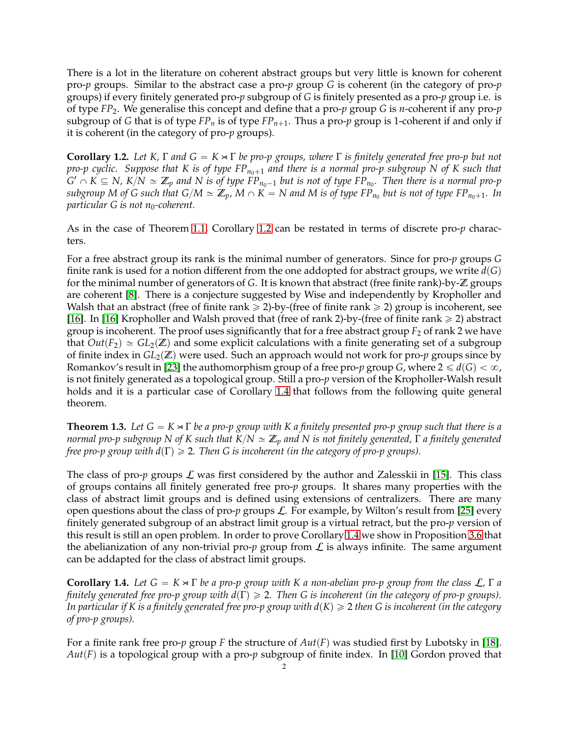There is a lot in the literature on coherent abstract groups but very little is known for coherent pro-*p* groups. Similar to the abstract case a pro-*p* group *G* is coherent (in the category of pro-*p* groups) if every finitely generated pro-*p* subgroup of *G* is finitely presented as a pro-*p* group i.e. is of type *FP*2. We generalise this concept and define that a pro-*p* group *G* is *n*-coherent if any pro-*p* subgroup of *G* that is of type  $FP_n$  is of type  $FP_{n+1}$ . Thus a pro-*p* group is 1-coherent if and only if it is coherent (in the category of pro-*p* groups).

<span id="page-1-0"></span>**Corollary 1.2.** *Let K,*  $\Gamma$  *and*  $G = K \times \Gamma$  *be pro-p groups, where*  $\Gamma$  *is finitely generated free pro-p but not pro-p cyclic. Suppose that K is of type FP*<sub>*n*0+1</sub> and there is a normal pro-p subgroup N of K such that  $G' \cap K \subseteq N$ ,  $K/N \simeq \mathbb{Z}_p$  and  $N$  is of type  $\mathrm{FP}_{n_0-1}$  but is not of type  $\mathrm{FP}_{n_0}$ . Then there is a normal pro-p  $s$ ubgroup M of G such that  $G/M \simeq \mathbb{Z}_p$ ,  $M \cap K = N$  and  $M$  is of type FP  $_{n_0}$  but is not of type FP  $_{n_0+1}$ . In *particular G is not n*<sub>0</sub>-coherent.

As in the case of Theorem [1.1,](#page-0-0) Corollary [1.2](#page-1-0) can be restated in terms of discrete pro-*p* characters.

For a free abstract group its rank is the minimal number of generators. Since for pro-*p* groups *G* finite rank is used for a notion different from the one addopted for abstract groups, we write  $d(G)$ for the minimal number of generators of *G*. It is known that abstract (free finite rank)-by-Z groups are coherent [\[8\]](#page-13-7). There is a conjecture suggested by Wise and independently by Kropholler and Walsh that an abstract (free of finite rank  $\geq 2$ )-by-(free of finite rank  $\geq 2$ ) group is incoherent, see [\[16\]](#page-13-3). In [\[16\]](#page-13-3) Kropholler and Walsh proved that (free of rank 2)-by-(free of finite rank  $\geq 2$ ) abstract group is incoherent. The proof uses significantly that for a free abstract group *F*<sup>2</sup> of rank 2 we have that  $Out(F_2) \simeq GL_2(\mathbb{Z})$  and some explicit calculations with a finite generating set of a subgroup of finite index in  $GL_2(\mathbb{Z})$  were used. Such an approach would not work for pro-*p* groups since by Romankov's result in [\[23\]](#page-14-0) the authomorphism group of a free pro- $p$  group *G*, where  $2 \le d(G) < \infty$ , is not finitely generated as a topological group. Still a pro-*p* version of the Kropholler-Walsh result holds and it is a particular case of Corollary [1.4](#page-1-1) that follows from the following quite general theorem.

<span id="page-1-2"></span>**Theorem 1.3.** Let  $G = K \rtimes \Gamma$  be a pro-p group with K a finitely presented pro-p group such that there is a *normal pro-p subgroup N of K such that K*{*N* » Z*<sup>p</sup> and N is not finitely generated,* Γ *a finitely generated free pro-p group with d* $(\Gamma) \geq 2$ *. Then G is incoherent (in the category of pro-p groups).* 

The class of pro- $p$  groups  $\mathcal L$  was first considered by the author and Zalesskii in [\[15\]](#page-13-8). This class of groups contains all finitely generated free pro-*p* groups. It shares many properties with the class of abstract limit groups and is defined using extensions of centralizers. There are many open questions about the class of pro-*p* groups L. For example, by Wilton's result from [\[25\]](#page-14-1) every finitely generated subgroup of an abstract limit group is a virtual retract, but the pro-*p* version of this result is still an open problem. In order to prove Corollary [1.4](#page-1-1) we show in Proposition [3.6](#page-10-0) that the abelianization of any non-trivial pro- $p$  group from  $\mathcal L$  is always infinite. The same argument can be addapted for the class of abstract limit groups.

<span id="page-1-1"></span>**Corollary 1.4.** *Let*  $G = K \times \Gamma$  *be a pro-p group with* K *a non-abelian pro-p group from the class*  $\mathcal{L}$ ,  $\Gamma$  *a finitely generated free pro-p group with d*(Γ) ≥ 2. Then G is incoherent (in the category of pro-p groups). *In particular if K is a finitely generated free pro-p group with*  $d(K) \geq 2$  *then G is incoherent (in the category of pro-p groups).*

For a finite rank free pro- $p$  group  $F$  the structure of  $Aut(F)$  was studied first by Lubotsky in [\[18\]](#page-13-9).  $Aut(F)$  is a topological group with a pro-*p* subgroup of finite index. In [\[10\]](#page-13-10) Gordon proved that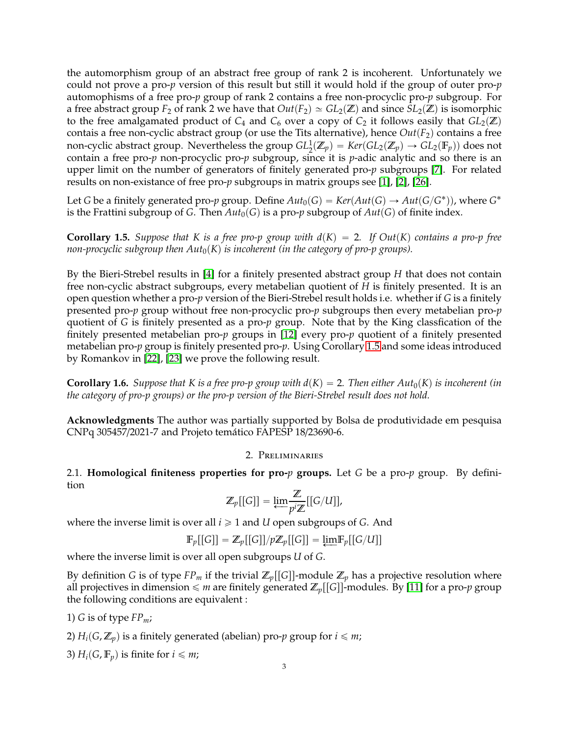the automorphism group of an abstract free group of rank 2 is incoherent. Unfortunately we could not prove a pro-*p* version of this result but still it would hold if the group of outer pro-*p* automophisms of a free pro-*p* group of rank 2 contains a free non-procyclic pro-*p* subgroup. For a free abstract group  $F_2$  of rank 2 we have that  $Out(F_2) \simeq GL_2(\mathbb{Z})$  and since  $SL_2(\mathbb{Z})$  is isomorphic to the free amalgamated product of  $C_4$  and  $C_6$  over a copy of  $C_2$  it follows easily that  $GL_2(\mathbb{Z})$ contais a free non-cyclic abstract group (or use the Tits alternative), hence  $Out(F_2)$  contains a free non-cyclic abstract group. Nevertheless the group  $GL_2^1(\Z_p)=Ker(GL_2(\Z_p)\to GL_2(\mathbb{F}_p))$  does not  $\sum_{i=1}^{\infty}$  contain a free pro-*p* non-procyclic pro-*p* subgroup, since it is *p*-adic analytic and so there is an upper limit on the number of generators of finitely generated pro-*p* subgroups [\[7\]](#page-13-11). For related results on non-existance of free pro-*p* subgroups in matrix groups see [\[1\]](#page-13-12), [\[2\]](#page-13-13), [\[26\]](#page-14-2).

Let *G* be a finitely generated pro-*p* group. Define  $Aut_0(G) = Ker(Aut(G) \rightarrow Aut(G/G^*))$ , where  $G^*$ is the Frattini subgroup of *G*. Then  $Aut_0(G)$  is a pro-*p* subgroup of  $Aut(G)$  of finite index.

<span id="page-2-0"></span>**Corollary 1.5.** *Suppose that K is a free pro-p group with*  $d(K) = 2$ *. If Out* $(K)$  *contains a pro-p free non-procyclic subgroup then*  $Aut_0(K)$  *is incoherent (in the category of pro-p groups).* 

By the Bieri-Strebel results in [\[4\]](#page-13-14) for a finitely presented abstract group *H* that does not contain free non-cyclic abstract subgroups, every metabelian quotient of *H* is finitely presented. It is an open question whether a pro-*p* version of the Bieri-Strebel result holds i.e. whether if *G* is a finitely presented pro-*p* group without free non-procyclic pro-*p* subgroups then every metabelian pro-*p* quotient of *G* is finitely presented as a pro-*p* group. Note that by the King classfication of the finitely presented metabelian pro-*p* groups in [\[12\]](#page-13-15) every pro-*p* quotient of a finitely presented metabelian pro-*p* group is finitely presented pro-*p*. Using Corollary [1.5](#page-2-0) and some ideas introduced by Romankov in [\[22\]](#page-13-16), [\[23\]](#page-14-0) we prove the following result.

<span id="page-2-2"></span>**Corollary 1.6.** *Suppose that K is a free pro-p group with*  $d(K) = 2$ *. Then either Aut*<sub>0</sub> $(K)$  *is incoherent (in the category of pro-p groups) or the pro-p version of the Bieri-Strebel result does not hold.*

**Acknowledgments** The author was partially supported by Bolsa de produtividade em pesquisa CNPq 305457/2021-7 and Projeto temático FAPESP 18/23690-6.

# 2. Preliminaries

<span id="page-2-1"></span>2.1. **Homological finiteness properties for pro-***p* **groups.** Let *G* be a pro-*p* group. By definition

$$
\mathbb{Z}_p[[G]] = \underleftarrow{\lim} \frac{\mathbb{Z}}{p^i \mathbb{Z}}[[G/U]],
$$

where the inverse limit is over all  $i \geq 1$  and *U* open subgroups of *G*. And

$$
\mathbb{F}_p[[G]] = \mathbb{Z}_p[[G]]/p\mathbb{Z}_p[[G]] = \underleftarrow{\lim} \mathbb{F}_p[[G/U]]
$$

where the inverse limit is over all open subgroups *U* of *G*.

By definition *G* is of type *FP<sub>m</sub>* if the trivial  $\mathbb{Z}_p[[G]]$ -module  $\mathbb{Z}_p$  has a projective resolution where all projectives in dimension  $\leq m$  are finitely generated  $\mathbb{Z}_p[[G]]$ -modules. By [\[11\]](#page-13-6) for a pro-*p* group the following conditions are equivalent :

1) *G* is of type  $FP_m$ ;

2)  $H_i(G, \mathbb{Z}_p)$  is a finitely generated (abelian) pro-*p* group for  $i \leq m$ ;

3)  $H_i(G, \mathbb{F}_p)$  is finite for  $i \leq m$ ;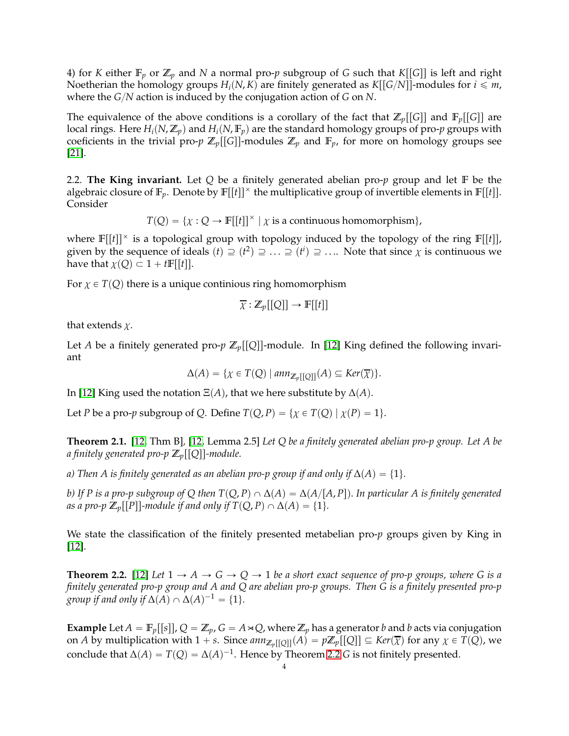4) for *K* either  $\mathbb{F}_p$  or  $\mathbb{Z}_p$  and *N* a normal pro-*p* subgroup of *G* such that *K*[[*G*]] is left and right Noetherian the homology groups  $H_i(N, K)$  are finitely generated as  $K[[G/N]]$ -modules for  $i \leq m$ , where the *G*{*N* action is induced by the conjugation action of *G* on *N*.

The equivalence of the above conditions is a corollary of the fact that  $\mathbb{Z}_p[[G]]$  and  $\mathbb{F}_p[[G]]$  are local rings. Here  $H_i(N, \mathbb{Z}_p)$  and  $H_i(N, \mathbb{F}_p)$  are the standard homology groups of pro-*p* groups with coeficients in the trivial pro- $p \mathbb{Z}_p[[G]]$ -modules  $\mathbb{Z}_p$  and  $\mathbb{F}_p$ , for more on homology groups see [\[21\]](#page-13-17).

2.2. **The King invariant.** Let *Q* be a finitely generated abelian pro-*p* group and let F be the algebraic closure of  $\mathbb{F}_p$ . Denote by  $\mathbb{F}[[t]]^{\times}$  the multiplicative group of invertible elements in  $\mathbb{F}[[t]]$ . Consider

 $T(Q) = \{ \chi : Q \to \mathbb{F}[[t]]^{\times} \mid \chi \text{ is a continuous homomorphism} \},$ 

where  $\mathbb{F}[[t]]^{\times}$  is a topological group with topology induced by the topology of the ring  $\mathbb{F}[[t]]$ , given by the sequence of ideals  $(t) \supseteq (t^2) \supseteq \ldots \supseteq (t^i) \supseteq \ldots$  Note that since  $\chi$  is continuous we have that  $\chi(Q) \subset 1 + tF[[t]].$ 

For  $\chi \in T(Q)$  there is a unique continious ring homomorphism

$$
\overline{\chi}: \mathbb{Z}_p[[Q]] \to \mathbb{F}[[t]]
$$

that extends  $\chi$ .

Let *A* be a finitely generated pro- $p \mathbb{Z}_p[[Q]]$ -module. In [\[12\]](#page-13-15) King defined the following invariant

$$
\Delta(A) = \{ \chi \in T(Q) \mid \text{ann}_{\mathbb{Z}_p[[Q]]}(A) \subseteq \text{Ker}(\overline{\chi}) \}.
$$

In [\[12\]](#page-13-15) King used the notation  $E(A)$ , that we here substitute by  $\Delta(A)$ .

Let *P* be a pro-*p* subgroup of *Q*. Define  $T(Q, P) = \{ \chi \in T(Q) \mid \chi(P) = 1 \}.$ 

<span id="page-3-1"></span>**Theorem 2.1.** [\[12,](#page-13-15) Thm B]*,* [\[12,](#page-13-15) Lemma 2.5] *Let Q be a finitely generated abelian pro-p group. Let A be a* finitely generated pro-p  $\mathbb{Z}_p[[Q]]$ -module.

*a)* Then *A* is finitely generated as an abelian pro-p group if and only if  $\Delta(A) = \{1\}$ *.* 

*b)* If P is a pro-p subgroup of Q then  $T(Q, P) \cap \Delta(A) = \Delta(A/[A, P])$ . In particular A is finitely generated *as a pro-p*  $\mathbb{Z}_p[[P]]$ -module if and only if  $T(Q, P) \cap \Delta(A) = \{1\}.$ 

We state the classification of the finitely presented metabelian pro-*p* groups given by King in [\[12\]](#page-13-15).

<span id="page-3-0"></span>**Theorem 2.2.** [\[12\]](#page-13-15) Let  $1 \rightarrow A \rightarrow G \rightarrow Q \rightarrow 1$  be a short exact sequence of pro-p groups, where G is a *finitely generated pro-p group and A and Q are abelian pro-p groups. Then G is a finitely presented pro-p group if and only if*  $\Delta(A) \cap \Delta(A)^{-1} = \{1\}.$ 

**Example** Let  $A = \mathbb{F}_p[[s]]$ ,  $Q = \mathbb{Z}_p$ ,  $G = A \rtimes Q$ , where  $\mathbb{Z}_p$  has a generator *b* and *b* acts via conjugation on *A* by multiplication with  $1 + s$ . Since  $ann_{\mathbb{Z}_p[[Q]]}(A) = p\mathbb{Z}_p[[Q]] \subseteq Ker(\overline{\chi})$  for any  $\chi \in T(Q)$ , we conclude that  $\Delta(A) = T(Q) = \Delta(A)^{-1}$ . Hence by Theorem [2.2](#page-3-0) *G* is not finitely presented.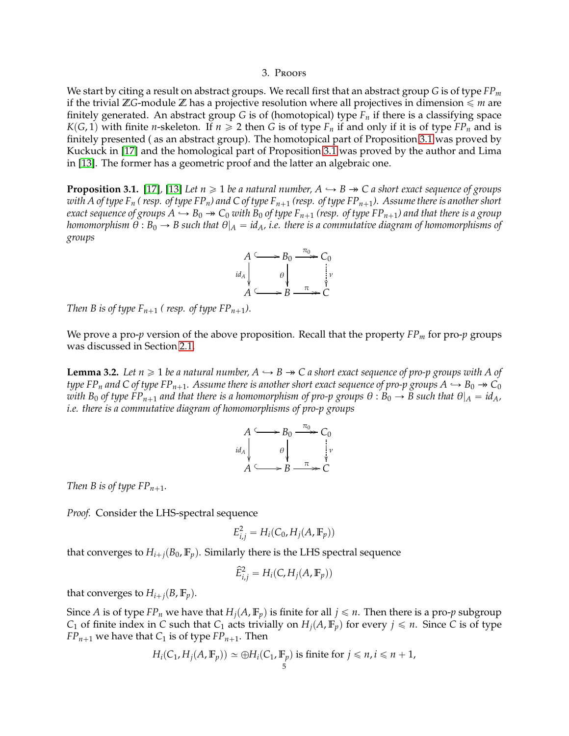# 3. Proofs

We start by citing a result on abstract groups. We recall first that an abstract group *G* is of type *FP<sup>m</sup>* if the trivial  $\mathbb{Z}$ *G*-module  $\mathbb{Z}$  has a projective resolution where all projectives in dimension  $\leq m$  are finitely generated. An abstract group *G* is of (homotopical) type *F<sup>n</sup>* if there is a classifying space *K*(*G*, 1) with finite *n*-skeleton. If  $n \ge 2$  then *G* is of type  $F_n$  if and only if it is of type  $FP_n$  and is finitely presented ( as an abstract group). The homotopical part of Proposition [3.1](#page-4-0) was proved by Kuckuck in [\[17\]](#page-13-18) and the homological part of Proposition [3.1](#page-4-0) was proved by the author and Lima in [\[13\]](#page-13-19). The former has a geometric proof and the latter an algebraic one.

<span id="page-4-0"></span>**Proposition 3.1.** [\[17\]](#page-13-18), [\[13\]](#page-13-19) *Let*  $n \ge 1$  *be a natural number, A*  $\hookrightarrow$  *B*  $\rightarrow$  *C a short exact sequence of groups with A of type F<sub>n</sub> (resp. of type FP<sub>n</sub>) and C of type F<sub>n+1</sub> (resp. of type FP<sub>n+1</sub>). Assume there is another short exact sequence of groups*  $A \hookrightarrow B_0 \twoheadrightarrow C_0$  *with*  $B_0$  *of type*  $F_{n+1}$  *(resp. of type*  $FP_{n+1}$ *) and that there is a group homomorphism*  $\theta$  :  $B_0 \rightarrow B$  such that  $\theta|_A = id_A$ , *i.e.* there is a commutative diagram of homomorphisms of *groups*



*Then B is of type*  $F_{n+1}$  *(resp. of type*  $FP_{n+1}$ *).* 

We prove a pro-*p* version of the above proposition. Recall that the property *FP<sup>m</sup>* for pro-*p* groups was discussed in Section [2.1.](#page-2-1)

<span id="page-4-1"></span>**Lemma 3.2.** *Let n*  $\geq$  1 *be a natural number, A*  $\hookrightarrow$  *B*  $\rightarrow$  *C a short exact sequence of pro-p groups with A of type FP*<sup>*n*</sup> and C of type FP<sup>*n*+1</sub>*. Assume there is another short exact sequence of pro-p groups A*  $\rightarrow$  B<sub>0</sub>  $\rightarrow$  C<sub>0</sub></sup> *with*  $B_0$  *of type*  $FP_{n+1}$  *and that there is a homomorphism of pro-p groups*  $\theta : B_0 \to B$  *such that*  $\theta|_A = id_A$ *, i.e. there is a commutative diagram of homomorphisms of pro-p groups*



*Then B is of type*  $FP_{n+1}$ *.* 

*Proof.* Consider the LHS-spectral sequence

$$
E_{i,j}^2 = H_i(C_0, H_j(A, \mathbb{F}_p))
$$

that converges to  $H_{i+j}(B_0, \mathbb{F}_p)$ . Similarly there is the LHS spectral sequence

$$
\widehat{E}_{i,j}^2 = H_i(C, H_j(A, \mathbb{F}_p))
$$

that converges to  $H_{i+j}(B, \mathbb{F}_p)$ .

Since *A* is of type *FP<sub>n</sub>* we have that  $H_i(A, \mathbb{F}_p)$  is finite for all  $j \leq n$ . Then there is a pro-*p* subgroup *C*<sub>1</sub> of finite index in *C* such that *C*<sub>1</sub> acts trivially on  $H_i(A, \mathbb{F}_p)$  for every  $j \leq n$ . Since *C* is of type *FP*<sub>*n*+1</sub> we have that *C*<sub>1</sub> is of type *FP*<sub>*n*+1</sub>. Then

$$
H_i(C_1, H_j(A, \mathbb{F}_p)) \simeq \bigoplus H_i(C_1, \mathbb{F}_p)
$$
 is finite for  $j \leq n, i \leq n+1$ ,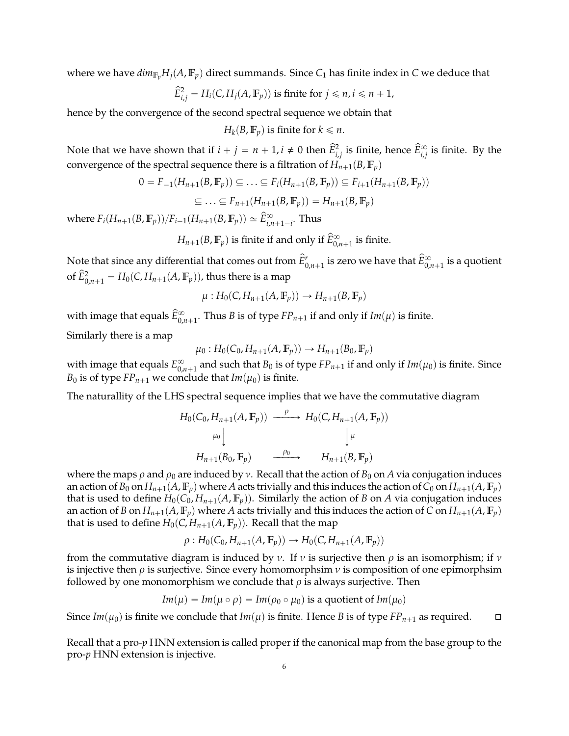where we have  $dim_{\mathbb{F}_p} H_i(A, \mathbb{F}_p)$  direct summands. Since  $C_1$  has finite index in *C* we deduce that

$$
\widehat{E}_{i,j}^2 = H_i(C, H_j(A, \mathbb{F}_p))
$$
 is finite for  $j \le n, i \le n + 1$ ,

hence by the convergence of the second spectral sequence we obtain that

 $H_k(B, \mathbb{F}_p)$  is finite for  $k \leq n$ .

Note that we have shown that if  $i + j = n + 1$ ,  $i \neq 0$  then  $\widehat{E}_{i,j}^2$  is finite, hence  $\widehat{E}_{i,j}^{\infty}$  is finite. By the convergence of the spectral sequence there is a filtration of  $H_{n+1}(B, \mathbb{F}_p)$ 

$$
0 = F_{-1}(H_{n+1}(B, \mathbb{F}_p)) \subseteq \dots \subseteq F_i(H_{n+1}(B, \mathbb{F}_p)) \subseteq F_{i+1}(H_{n+1}(B, \mathbb{F}_p))
$$
  

$$
\subseteq \dots \subseteq F_{n+1}(H_{n+1}(B, \mathbb{F}_p)) = H_{n+1}(B, \mathbb{F}_p)
$$

where  $F_i(H_{n+1}(B, \mathbb{F}_p))/F_{i-1}(H_{n+1}(B, \mathbb{F}_p)) \simeq \widehat{E}^{\infty}_{i,n+1-i}$ . Thus

 $H_{n+1}(B, \mathbb{F}_p)$  is finite if and only if  $\widehat{E}^{\infty}_{0,n+1}$  is finite.

Note that since any differential that comes out from  $\hat E^r_{0,n+1}$  is zero we have that  $\hat E^\infty_{0,n+1}$  is a quotient of  $\widehat{E}_{0,n+1}^2 = H_0(C, H_{n+1}(A, \mathbb{F}_p))$ , thus there is a map

$$
\mu: H_0(C, H_{n+1}(A, \mathbb{F}_p)) \to H_{n+1}(B, \mathbb{F}_p)
$$

with image that equals  $\widetilde{E}_{0,n+1}^{\infty}$ . Thus *B* is of type  $FP_{n+1}$  if and only if  $Im(\mu)$  is finite.

Similarly there is a map

 $\mu_0: H_0(C_0, H_{n+1}(A, \mathbb{F}_p)) \rightarrow H_{n+1}(B_0, \mathbb{F}_p)$ 

with image that equals  $E_{0}^{\infty}$  $\int_{0,n+1}^{\infty}$  and such that  $B_0$  is of type  $FP_{n+1}$  if and only if  $Im(\mu_0)$  is finite. Since *B*<sup>0</sup> is of type *FP*<sub>*n*+1</sub> we conclude that *Im*( $\mu$ <sup>0</sup>) is finite.

The naturallity of the LHS spectral sequence implies that we have the commutative diagram

$$
H_0(C_0, H_{n+1}(A, \mathbb{F}_p)) \xrightarrow{\rho} H_0(C, H_{n+1}(A, \mathbb{F}_p))
$$
  
\n
$$
\downarrow^{\mu_0} \qquad \qquad \downarrow^{\mu}
$$
  
\n
$$
H_{n+1}(B_0, \mathbb{F}_p) \xrightarrow{\rho_0} H_{n+1}(B, \mathbb{F}_p)
$$

where the maps  $\rho$  and  $\rho_0$  are induced by  $\nu$ . Recall that the action of  $B_0$  on A via conjugation induces an action of  $B_0$  on  $H_{n+1}(A, \mathbb{F}_p)$  where A acts trivially and this induces the action of  $C_0$  on  $H_{n+1}(A, \mathbb{F}_p)$ that is used to define  $H_0(C_0, H_{n+1}(A, \mathbb{F}_p))$ . Similarly the action of *B* on *A* via conjugation induces an action of *B* on  $H_{n+1}(A, \mathbb{F}_p)$  where *A* acts trivially and this induces the action of *C* on  $H_{n+1}(A, \mathbb{F}_p)$ that is used to define  $H_0(C, H_{n+1}(A, \mathbb{F}_p))$ . Recall that the map

$$
\rho: H_0(C_0, H_{n+1}(A, \mathbb{F}_p)) \to H_0(C, H_{n+1}(A, \mathbb{F}_p))
$$

from the commutative diagram is induced by  $\nu$ . If  $\nu$  is surjective then  $\rho$  is an isomorphism; if  $\nu$ is injective then  $\rho$  is surjective. Since every homomorphsim  $\nu$  is composition of one epimorphsim followed by one monomorphism we conclude that  $\rho$  is always surjective. Then

$$
Im(\mu) = Im(\mu \circ \rho) = Im(\rho_0 \circ \mu_0)
$$
 is a quotient of  $Im(\mu_0)$ 

Since  $Im(\mu_0)$  is finite we conclude that  $Im(\mu)$  is finite. Hence *B* is of type  $FP_{n+1}$  as required.  $\square$ 

Recall that a pro-*p* HNN extension is called proper if the canonical map from the base group to the pro-*p* HNN extension is injective.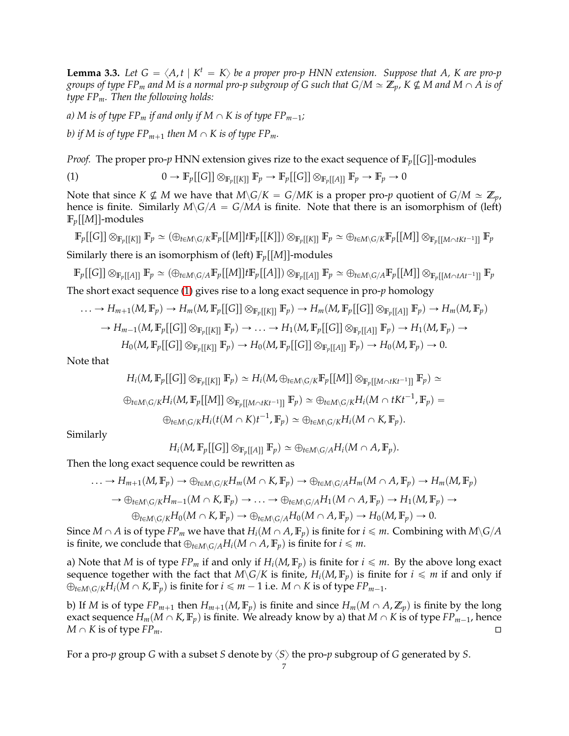<span id="page-6-1"></span>**Lemma 3.3.** Let  $G = \langle A, t | K^t = K \rangle$  be a proper pro-p HNN extension. Suppose that A, K are pro-p *groups of type FP<sub>m</sub> and M is a normal pro-p subgroup of G such that G/M*  $\simeq \mathbb{Z}_p$ *, K*  $\nsubseteq$  *M and M*  $\cap$  *A is of type FPm. Then the following holds:*

*a) M is of type FP<sub><i>m*</sub> *if and only if*  $M \cap K$  *is of type FP*<sub>*m*-1</sub>*;* 

*b)* if M is of type  $FP_{m+1}$  then  $M \cap K$  is of type  $FP_m$ .

*Proof.* The proper pro-*p* HNN extension gives rize to the exact sequence of  $\mathbb{F}_p[[G]]$ -modules

<span id="page-6-0"></span>(1) 
$$
0 \to \mathbb{F}_p[[G]] \otimes_{\mathbb{F}_p[[K]]} \mathbb{F}_p \to \mathbb{F}_p[[G]] \otimes_{\mathbb{F}_p[[A]]} \mathbb{F}_p \to \mathbb{F}_p \to 0
$$

Note that since  $K \nsubseteq M$  we have that  $M\backslash G/K = G/MK$  is a proper pro-*p* quotient of  $G/M \simeq \mathbb{Z}_p$ , hence is finite. Similarly  $M\backslash G/A = G/MA$  is finite. Note that there is an isomorphism of (left)  $\mathbb{F}_p[[M]]$ -modules

 $\mathbb{F}_p[[G]]\otimes_{\mathbb{F}_p[[K]]}\mathbb{F}_p\simeq (\oplus_{t\in M\setminus G/K}\mathbb{F}_p[[M]]t\mathbb{F}_p[[K]])\otimes_{\mathbb{F}_p[[K]]}\mathbb{F}_p\simeq \oplus_{t\in M\setminus G/K}\mathbb{F}_p[[M]]\otimes_{\mathbb{F}_p[[M\cap tKt^{-1}]]}\mathbb{F}_p$ Similarly there is an isomorphism of (left)  $\mathbb{F}_p[[M]]$ -modules

$$
\mathbb{F}_p[[G]] \otimes_{\mathbb{F}_p[[A]]} \mathbb{F}_p \simeq (\oplus_{t \in M \setminus G/A} \mathbb{F}_p[[M]] t \mathbb{F}_p[[A]]) \otimes_{\mathbb{F}_p[[A]]} \mathbb{F}_p \simeq \oplus_{t \in M \setminus G/A} \mathbb{F}_p[[M]] \otimes_{\mathbb{F}_p[[M \cap tAt^{-1}]]} \mathbb{F}_p
$$

The short exact sequence [\(1\)](#page-6-0) gives rise to a long exact sequence in pro-*p* homology

$$
\ldots \to H_{m+1}(M, \mathbb{F}_p) \to H_m(M, \mathbb{F}_p[[G]] \otimes_{\mathbb{F}_p[[K]]} \mathbb{F}_p) \to H_m(M, \mathbb{F}_p[[G]] \otimes_{\mathbb{F}_p[[A]]} \mathbb{F}_p) \to H_m(M, \mathbb{F}_p)
$$

$$
\to H_{m-1}(M, \mathbb{F}_p[[G]] \otimes_{\mathbb{F}_p[[K]]} \mathbb{F}_p) \to \ldots \to H_1(M, \mathbb{F}_p[[G]] \otimes_{\mathbb{F}_p[[A]]} \mathbb{F}_p) \to H_1(M, \mathbb{F}_p) \to
$$

$$
H_0(M, \mathbb{F}_p[[G]] \otimes_{\mathbb{F}_p[[K]]} \mathbb{F}_p) \to H_0(M, \mathbb{F}_p[[G]] \otimes_{\mathbb{F}_p[[A]]} \mathbb{F}_p) \to H_0(M, \mathbb{F}_p) \to 0.
$$

Note that

$$
H_i(M, \mathbb{F}_p[[G]] \otimes_{\mathbb{F}_p[[K]]} \mathbb{F}_p) \simeq H_i(M, \oplus_{t \in M \setminus G/K} \mathbb{F}_p[[M]] \otimes_{\mathbb{F}_p[[M \cap tKt^{-1}]]} \mathbb{F}_p) \simeq
$$
  

$$
\oplus_{t \in M \setminus G/K} H_i(M, \mathbb{F}_p[[M]] \otimes_{\mathbb{F}_p[[M \cap tKt^{-1}]]} \mathbb{F}_p) \simeq \oplus_{t \in M \setminus G/K} H_i(M \cap tKt^{-1}, \mathbb{F}_p) =
$$
  

$$
\oplus_{t \in M \setminus G/K} H_i(t(M \cap K)t^{-1}, \mathbb{F}_p) \simeq \oplus_{t \in M \setminus G/K} H_i(M \cap K, \mathbb{F}_p).
$$

Similarly

$$
H_i(M,\mathbb{F}_p[[G]] \otimes_{\mathbb{F}_p[[A]]} \mathbb{F}_p) \simeq \bigoplus_{t \in M \setminus G/A} H_i(M \cap A, \mathbb{F}_p).
$$

Then the long exact sequence could be rewritten as

$$
\ldots \to H_{m+1}(M, \mathbb{F}_p) \to \oplus_{t \in M \backslash G/K} H_m(M \cap K, \mathbb{F}_p) \to \oplus_{t \in M \backslash G/A} H_m(M \cap A, \mathbb{F}_p) \to H_m(M, \mathbb{F}_p)
$$
  
\n
$$
\to \oplus_{t \in M \backslash G/K} H_{m-1}(M \cap K, \mathbb{F}_p) \to \ldots \to \oplus_{t \in M \backslash G/A} H_1(M \cap A, \mathbb{F}_p) \to H_1(M, \mathbb{F}_p) \to
$$
  
\n
$$
\oplus_{t \in M \backslash G/K} H_0(M \cap K, \mathbb{F}_p) \to \oplus_{t \in M \backslash G/A} H_0(M \cap A, \mathbb{F}_p) \to H_0(M, \mathbb{F}_p) \to 0.
$$

Since  $M \cap A$  is of type  $FP_m$  we have that  $H_i(M \cap A, \mathbb{F}_p)$  is finite for  $i \leq m$ . Combining with  $M \setminus G/A$ is finite, we conclude that  $\bigoplus_{t \in M \setminus G / A} H_i(M \cap A, \mathbb{F}_p)$  is finite for  $i \leq m$ .

a) Note that *M* is of type  $FP_m$  if and only if  $H_i(M, \mathbb{F}_p)$  is finite for  $i \leq m$ . By the above long exact sequence together with the fact that  $M\ G/K$  is finite,  $H_i(M, \mathbb{F}_p)$  is finite for  $i \leq m$  if and only if  $\bigoplus_{t \in M \setminus G/K} H_i(M \cap K, \mathbb{F}_p)$  is finite for  $i \leq m-1$  i.e.  $M \cap K$  is of type  $FP_{m-1}$ .

b) If *M* is of type  $FP_{m+1}$  then  $H_{m+1}(M, \mathbb{F}_p)$  is finite and since  $H_m(M \cap A, \mathbb{Z}_p)$  is finite by the long exact sequence  $H_m(M \cap K, \mathbb{F}_p)$  is finite. We already know by a) that  $M \cap K$  is of type  $FP_{m-1}$ , hence  $M \cap K$  is of type  $FP_m$ .

For a pro-*p* group *G* with a subset *S* denote by  $\langle S \rangle$  the pro-*p* subgroup of *G* generated by *S*.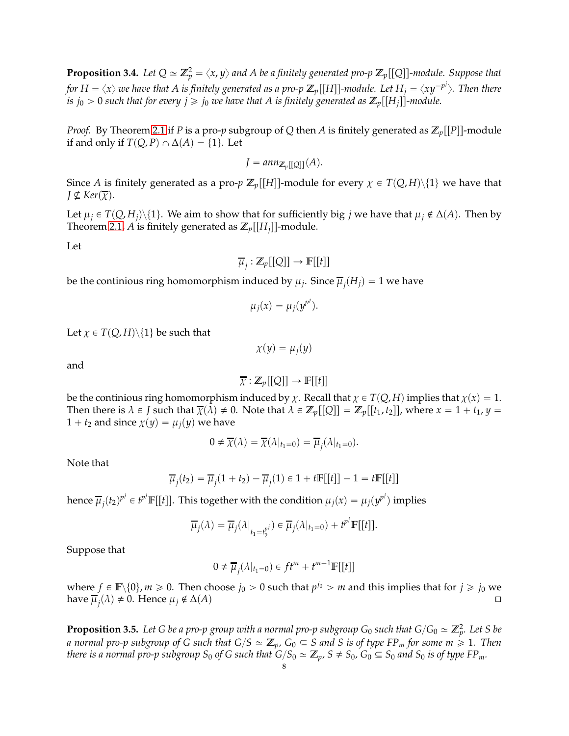<span id="page-7-0"></span>**Proposition 3.4.** Let  $Q \simeq \mathbb{Z}_p^2 = \langle x,y \rangle$  and A be a finitely generated pro-p  $\mathbb{Z}_p[[Q]]$ -module. Suppose that *for*  $H = \langle x\rangle$  *we have that A is finitely generated as a pro-p*  $\mathbb{Z}_p[[H]]$ *-module. Let*  $H_j = \langle xy^{-p^j}\rangle$ *. Then there is*  $j_0 > 0$  *such that for every*  $j \ge j_0$  *we have that A is finitely generated as*  $\mathbb{Z}_p[[H_i]]$ -module.

*Proof.* By Theorem [2.1](#page-3-1) if *P* is a pro-*p* subgroup of *Q* then *A* is finitely generated as  $\mathbb{Z}_p[[P]]$ -module if and only if *T*(*Q*, *P*)  $\cap$   $\Delta$ (*A*) = {1}. Let

$$
J = ann_{\mathbb{Z}_p[[Q]]}(A).
$$

Since *A* is finitely generated as a pro-*p*  $\mathbb{Z}_p[[H]]$ -module for every  $\chi \in T(Q,H)\setminus\{1\}$  we have that  $J \nsubseteq \text{Ker}(\overline{\chi})$ .

Let  $\mu_j \in T(Q, H_j) \setminus \{1\}$ . We aim to show that for sufficiently big *j* we have that  $\mu_j \notin \Delta(A)$ . Then by Theorem [2.1,](#page-3-1) *A* is finitely generated as  $\mathbb{Z}_p[[H_i]]$ -module.

Let

$$
\overline{\mu}_j : \mathbb{Z}_p[[Q]] \to \mathbb{F}[[t]]
$$

be the continious ring homomorphism induced by  $\mu_j$ . Since  $\overline{\mu}_j(H_j)=1$  we have

$$
\mu_j(x) = \mu_j(y^{p^j}).
$$

Let  $\chi \in T(Q, H) \setminus \{1\}$  be such that

$$
\chi(y)=\mu_j(y)
$$

and

$$
\overline{\chi}: \mathbb{Z}_p[[Q]] \to \mathbb{F}[[t]]
$$

be the continious ring homomorphism induced by  $\chi$ . Recall that  $\chi \in T(Q, H)$  implies that  $\chi(x) = 1$ . Then there is  $\lambda \in J$  such that  $\overline{\chi}(\lambda) \neq 0$ . Note that  $\lambda \in \mathbb{Z}_p[[Q]] = \mathbb{Z}_p[[t_1, t_2]]$ , where  $x = 1 + t_1$ ,  $y =$  $1 + t_2$  and since  $\chi(y) = \mu_i(y)$  we have

$$
0 \neq \overline{\chi}(\lambda) = \overline{\chi}(\lambda|_{t_1=0}) = \overline{\mu}_j(\lambda|_{t_1=0}).
$$

Note that

$$
\overline{\mu}_j(t_2) = \overline{\mu}_j(1+t_2) - \overline{\mu}_j(1) \in 1 + t\mathbb{F}[[t]] - 1 = t\mathbb{F}[[t]]
$$

hence  $\overline{\mu}_j(t_2)^{p^j} \in t^{p^j}\mathbb{F}[[t]].$  This together with the condition  $\mu_j(x) = \mu_j(y^{p^j})$  implies

$$
\overline{\mu}_j(\lambda) = \overline{\mu}_j(\lambda|_{t_1 = t_2^{p^j}}) \in \overline{\mu}_j(\lambda|_{t_1 = 0}) + t^{p^j} \mathbb{F}[[t]].
$$

Suppose that

$$
0 \neq \overline{\mu}_j(\lambda|_{t_1=0}) \in ft^m + t^{m+1} \mathbb{F}[[t]]
$$

where  $f \in \mathbb{F}\backslash\{0\}$ ,  $m \geqslant 0$ . Then choose  $j_0 > 0$  such that  $p^{j_0} > m$  and this implies that for  $j \geqslant j_0$  we have  $\overline{\mu}_j(\lambda) \neq 0$ . Hence  $\mu_j \notin \Delta(A)$ 

<span id="page-7-1"></span>**Proposition 3.5.** Let G be a pro-p group with a normal pro-p subgroup G $_0$  such that G/G $_0 \simeq \mathbb{Z}_p^2$ . Let S be *a* normal pro-p subgroup of G such that  $G/S \simeq \mathbb{Z}_p$ ,  $G_0 \subseteq S$  and S is of type FP<sub>*m*</sub> for some  $m \geq 1$ . Then *there is a normal pro-p subgroup*  $S_0$  *of*  $G$  *such that*  $G/S_0 \simeq \mathbb{Z}_p$ *,*  $S \neq S_0$ *,*  $G_0 \subseteq S_0$  *and*  $S_0$  *is of type*  $FP_m$ *.*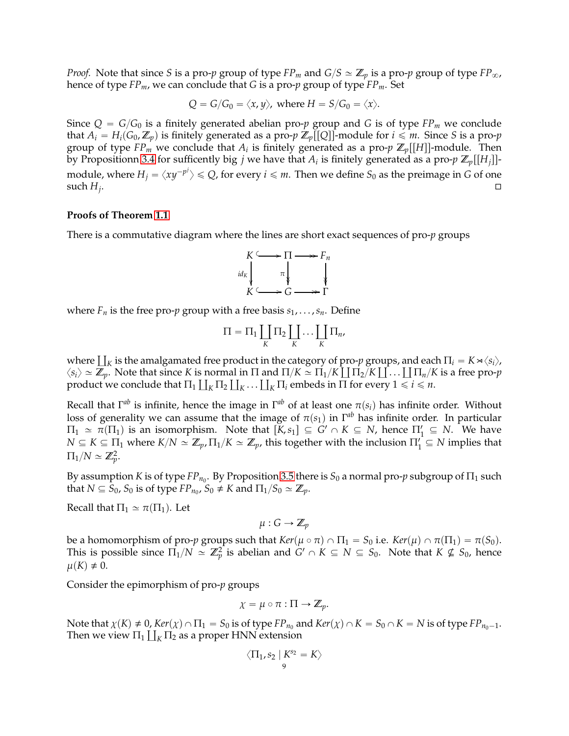*Proof.* Note that since *S* is a pro-*p* group of type  $FP_m$  and  $G/S \simeq \mathbb{Z}_p$  is a pro-*p* group of type  $FP_\infty$ , hence of type *FPm*, we can conclude that *G* is a pro-*p* group of type *FPm*. Set

$$
Q = G/G_0 = \langle x, y \rangle
$$
, where  $H = S/G_0 = \langle x \rangle$ .

Since  $Q = G/G_0$  is a finitely generated abelian pro-*p* group and *G* is of type  $FP_m$  we conclude that  $A_i = H_i(G_0, \mathbb{Z}_p)$  is finitely generated as a pro-*p*  $\mathbb{Z}_p[[Q]]$ -module for  $i \leq m$ . Since *S* is a pro-*p* group of type  $FP_m$  we conclude that  $A_i$  is finitely generated as a pro- $p \mathbb{Z}_p[[H]]$ -module. Then by Propositionn [3.4](#page-7-0) for sufficently big *j* we have that  $A_i$  is finitely generated as a pro- $p \mathbb{Z}_p[[H_j]]$ module, where  $H_j = \langle xy^{-p^j}\rangle \leqslant Q$ , for every  $i\leqslant m.$  Then we define  $S_0$  as the preimage in  $G$  of one such  $H_i$ . . В процесс в продаже с продаже с продаже с продаже с продаже с продаже с продаже с продаже с продаже с продаж<br>Според стандарство с продаже с продаже с продаже с продаже с продаже с продаже с продаже с продаже с продаже с

### **Proofs of Theorem [1.1](#page-0-0)**

There is a commutative diagram where the lines are short exact sequences of pro-*p* groups



where  $F_n$  is the free pro-*p* group with a free basis  $s_1, \ldots, s_n$ . Define

$$
\Pi = \Pi_1 \coprod_K \Pi_2 \coprod_K \cdots \coprod_K \Pi_n,
$$

where  $\coprod_K$  is the amalgamated free product in the category of pro-*p* groups, and each  $\Pi_i = K \rtimes \langle s_i \rangle$ ,  $\langle s_i \rangle \simeq \mathbb{Z}_p$ . Note that since *K* is normal in  $\Pi$  and  $\Pi/K \simeq \Pi_1/K \coprod \Pi_2/K \coprod \ldots \coprod \Pi_n/K$  is a free pro-*p* product we conclude that  $\Pi_1 \coprod_K \Pi_2 \coprod_K \ldots \coprod_K \Pi_i$  embeds in  $\Pi$  for every  $1 \leq i \leq n$ .

Recall that  $Γ^{ab}$  is infinite, hence the image in  $Γ^{ab}$  of at least one  $π(s_i)$  has infinite order. Without loss of generality we can assume that the image of  $\pi(s_1)$  in  $\Gamma^{ab}$  has infinite order. In particular  $\Pi_1 \simeq \pi(\Pi_1)$  is an isomorphism. Note that  $[K, s_1] \subseteq G' \cap K \subseteq N$ , hence  $\Pi'_1 \subseteq N$ . We have  $N \subseteq K \subseteq \Pi_1$  where  $K/N \simeq \mathbb{Z}_p$ ,  $\Pi_1/K \simeq \mathbb{Z}_p$ , this together with the inclusion  $\Pi'_1 \subseteq N$  implies that  $\Pi_1/N \simeq \mathbb{Z}_p^2$ .

By assumption  $K$  is of type  $FP_{n_0}$ . By Proposition [3.5](#page-7-1) there is  $S_0$  a normal pro- $p$  subgroup of  $\Pi_1$  such that  $N \subseteq S_0$ ,  $S_0$  is of type  $FP_{n_0}$ ,  $S_0 \neq K$  and  $\Pi_1/S_0 \simeq \mathbb{Z}_p$ .

Recall that  $\Pi_1 \simeq \pi(\Pi_1)$ . Let

 $\mu: G \to \mathbb{Z}_p$ 

be a homomorphism of pro-*p* groups such that  $Ker(\mu \circ \pi) \cap \Pi_1 = S_0$  i.e.  $Ker(\mu) \cap \pi(\Pi_1) = \pi(S_0)$ . This is possible since  $\Pi_1/N \simeq \mathbb{Z}_p^2$  is abelian and  $G' \cap K \subseteq N \subseteq S_0$ . Note that  $K \nsubseteq S_0$ , hence  $\mu(K) \neq 0$ .

Consider the epimorphism of pro-*p* groups

$$
\chi = \mu \circ \pi : \Pi \to \mathbb{Z}_p.
$$

Note that  $\chi(K) \neq 0$ ,  $Ker(\chi) \cap \Pi_1 = S_0$  is of type  $FP_{n_0}$  and  $Ker(\chi) \cap K = S_0 \cap K = N$  is of type  $FP_{n_0-1}$ . Then we view  $\Pi_1 \coprod_K \Pi_2$  as a proper HNN extension

$$
\langle \Pi_1, s_2 \mid K^{s_2} = K \rangle
$$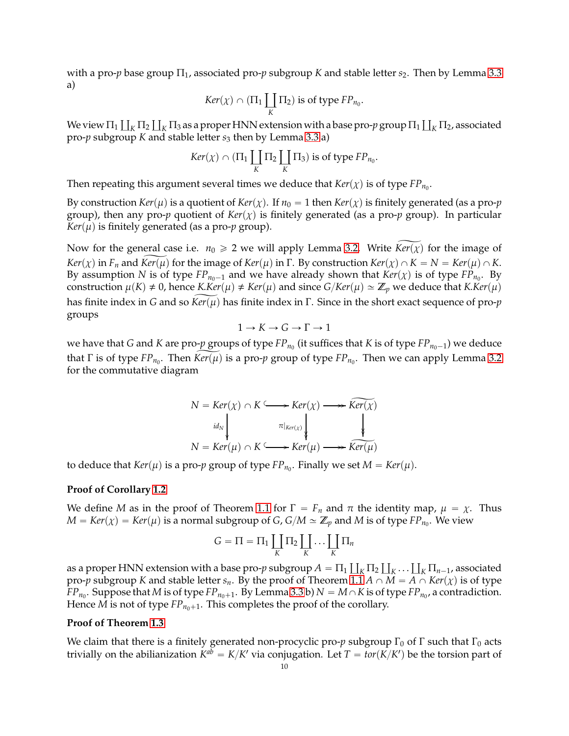with a pro-*p* base group  $\Pi_1$ , associated pro-*p* subgroup *K* and stable letter *s*<sub>2</sub>. Then by Lemma [3.3](#page-6-1) a)

$$
Ker(\chi) \cap (\Pi_1 \coprod_K \Pi_2) \text{ is of type } FP_{n_0}.
$$

We view  $\Pi_1\coprod_K\Pi_2\coprod_K\Pi_3$  as a proper HNN extension with a base pro- $p$  group  $\Pi_1\coprod_K\Pi_2$ , associated pro-*p* subgroup *K* and stable letter *s*<sup>3</sup> then by Lemma [3.3](#page-6-1) a)

$$
Ker(\chi) \cap (\Pi_1 \coprod_K \Pi_2 \coprod_K \Pi_3)
$$
 is of type  $FP_{n_0}$ .

Then repeating this argument several times we deduce that  $\text{Ker}(\chi)$  is of type  $\text{FP}_{n_0}$ .

By construction *Ker*( $\mu$ ) is a quotient of *Ker*( $\chi$ ). If  $n_0 = 1$  then *Ker*( $\chi$ ) is finitely generated (as a pro-*p* group), then any pro-*p* quotient of  $Ker(\chi)$  is finitely generated (as a pro-*p* group). In particular  $Ker(\mu)$  is finitely generated (as a pro-*p* group).

Now for the general case i.e.  $n_0 \ge 2$  we will apply Lemma [3.2.](#page-4-1) Write  $Ker(\chi)$  for the image of *Ker*(*χ*) in *F<sub>n</sub>* and *Ker*( $\mu$ ) for the image of *Ker*( $\mu$ ) in Γ. By construction *Ker*( $\chi$ )  $\cap$  *K* = *N* = *Ker*( $\mu$ )  $\cap$  *K*. By assumption *N* is of type  $FP_{n_0-1}$  and we have already shown that  $Ker(\chi)$  is of type  $FP_{n_0}$ . By construction  $\mu(K) \neq 0$ , hence *K.Ker*( $\mu$ )  $\neq$  *Ker*( $\mu$ ) and since *G*/*Ker*( $\mu$ )  $\approx$  **Z**<sub>*p*</sub> we deduce that *K.Ker*( $\mu$ ) has finite index in *G* and so *Ker*(*μ*) has finite index in Γ. Since in the short exact sequence of pro-*p* groups

$$
1 \to K \to G \to \Gamma \to 1
$$

we have that *G* and *K* are pro- $p$  groups of type  $FP_{n_0}$  (it suffices that *K* is of type  $FP_{n_0-1}$ ) we deduce that  $\Gamma$  is of type  $FP_{n_0}$ . Then  $Ker(\mu)$  is a pro- $p$  group of type  $FP_{n_0}$ . Then we can apply Lemma [3.2](#page-4-1) for the commutative diagram

$$
N = Ker(\chi) \cap K \longrightarrow Ker(\chi) \longrightarrow Ker(\chi)
$$
  
\n
$$
id_N \downarrow \qquad \qquad \pi|_{\text{Ker}(\chi)} \downarrow \qquad \qquad \downarrow
$$
  
\n
$$
N = Ker(\mu) \cap K \longrightarrow Ker(\mu) \longrightarrow Ker(\mu)
$$

to deduce that  $Ker(\mu)$  is a pro- $p$  group of type  $FP_{n_0}$ . Finally we set  $M=Ker(\mu)$ .

# **Proof of Corollary [1.2](#page-1-0)**

We define *M* as in the proof of Theorem [1.1](#page-0-0) for  $\Gamma = F_n$  and  $\pi$  the identity map,  $\mu = \chi$ . Thus  $M = Ker(\chi) = Ker(\mu)$  is a normal subgroup of *G*,  $G/M \simeq \mathbb{Z}_p$  and  $M$  is of type  $FP_{n_0}$ . We view

$$
G = \Pi = \Pi_1 \coprod_K \Pi_2 \coprod_K \cdots \coprod_K \Pi_n
$$

as a proper HNN extension with a base pro- $p$  subgroup  $A = \Pi_1 \coprod_K \Pi_2 \coprod_K \ldots \coprod_K \Pi_{n-1}$ , associated pro-*p* subgroup *K* and stable letter *s*<sub>*n*</sub>. By the proof of Theorem [1.1](#page-0-0) *A*  $\cap$  *M* = *A*  $\cap$  *Ker*(*x*) is of type *FP*<sub>*n*0</sub>. Suppose that *M* is of type *FP*<sub>*n*0+1</sub>. By Lemma [3.3](#page-6-1) b)  $N = M \cap K$  is of type *FP*<sub>*n*0</sub>, a contradiction. Hence *M* is not of type  $FP_{n_0+1}$ . This completes the proof of the corollary.

# **Proof of Theorem [1.3](#page-1-2)**

We claim that there is a finitely generated non-procyclic pro-*p* subgroup  $\Gamma_0$  of  $\Gamma$  such that  $\Gamma_0$  acts trivially on the abilianization  $K^{ab} = K/K'$  via conjugation. Let  $T = tor(K/K')$  be the torsion part of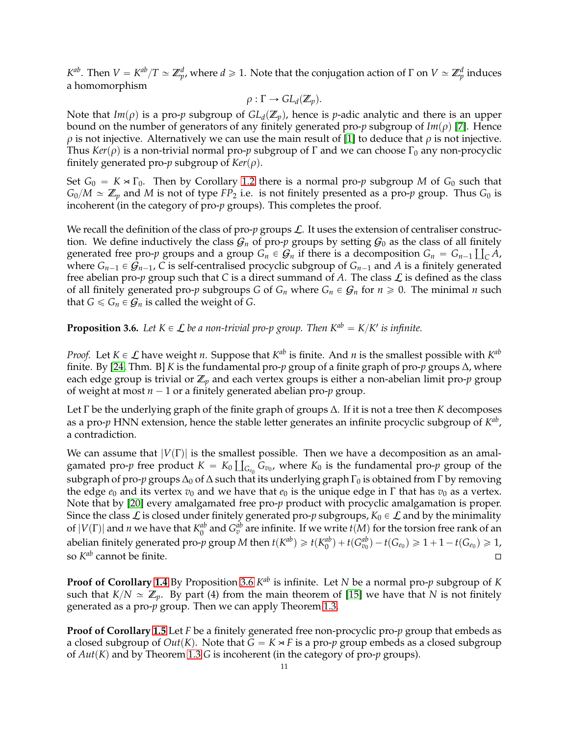*K*<sup>ab</sup>. Then *V* = *K*<sup>ab</sup>/*T* ≈ **Z**<sup>*d*</sup><sub>*p*</sub>, where *d* ≥ 1. Note that the conjugation action of Γ on *V* ≈ **Z**<sup>*d*</sup> p induces a homomorphism

$$
\rho: \Gamma \to GL_d(\mathbb{Z}_p).
$$

Note that  $Im(\rho)$  is a pro-*p* subgroup of  $GL_d(\mathbb{Z}_p)$ , hence is *p*-adic analytic and there is an upper bound on the number of generators of any finitely generated pro- $p$  subgroup of  $Im(\rho)$  [\[7\]](#page-13-11). Hence  $\rho$  is not injective. Alternatively we can use the main result of [\[1\]](#page-13-12) to deduce that  $\rho$  is not injective. Thus  $Ker(\rho)$  is a non-trivial normal pro-*p* subgroup of Γ and we can choose Γ<sub>0</sub> any non-procyclic finitely generated pro- $p$  subgroup of  $Ker(\rho)$ .

Set  $G_0 = K \times \Gamma_0$ . Then by Corollary [1.2](#page-1-0) there is a normal pro-*p* subgroup *M* of  $G_0$  such that  $G_0/M \simeq \mathbb{Z}_p$  and *M* is not of type *FP*<sub>2</sub> i.e. is not finitely presented as a pro-*p* group. Thus  $G_0$  is incoherent (in the category of pro-*p* groups). This completes the proof.

We recall the definition of the class of pro- $p$  groups  $\mathcal{L}$ . It uses the extension of centraliser construction. We define inductively the class  $G_n$  of pro-*p* groups by setting  $G_0$  as the class of all finitely generated free pro-*p* groups and a group  $G_n \in G_n$  if there is a decomposition  $G_n = G_{n-1} \coprod_{C} A$ , where  $G_{n-1} \in G_{n-1}$ , *C* is self-centralised procyclic subgroup of  $G_{n-1}$  and *A* is a finitely generated free abelian pro- $p$  group such that  $C$  is a direct summand of  $A$ . The class  $\mathcal L$  is defined as the class of all finitely generated pro-*p* subgroups *G* of  $G_n$  where  $G_n \in G_n$  for  $n \ge 0$ . The minimal *n* such that  $G \le G_n \in \mathcal{G}_n$  is called the weight of *G*.

<span id="page-10-0"></span>**Proposition 3.6.** Let  $K \in \mathcal{L}$  be a non-trivial pro-p group. Then  $K^{ab} = K/K'$  is infinite.

*Proof.* Let  $K \in \mathcal{L}$  have weight *n*. Suppose that  $K^{ab}$  is finite. And *n* is the smallest possible with  $K^{ab}$ finite. By [\[24,](#page-14-3) Thm. B] *K* is the fundamental pro-*p* group of a finite graph of pro-*p* groups ∆, where each edge group is trivial or Z*<sup>p</sup>* and each vertex groups is either a non-abelian limit pro-*p* group of weight at most  $n - 1$  or a finitely generated abelian pro- $p$  group.

Let Γ be the underlying graph of the finite graph of groups ∆. If it is not a tree then *K* decomposes as a pro-p HNN extension, hence the stable letter generates an infinite procyclic subgroup of  $K^{ab}$ , a contradiction.

We can assume that  $|V(\Gamma)|$  is the smallest possible. Then we have a decomposition as an amalgamated pro-*p* free product  $K = K_0 \coprod$  $G_{e_0}$   $G_{v_0}$ , where  $K_0$  is the fundamental pro-*p* group of the subgraph of pro-*p* groups  $\Delta_0$  of  $\Delta$  such that its underlying graph  $\Gamma_0$  is obtained from  $\Gamma$  by removing the edge  $e_0$  and its vertex  $v_0$  and we have that  $e_0$  is the unique edge in  $\Gamma$  that has  $v_0$  as a vertex. Note that by [\[20\]](#page-13-20) every amalgamated free pro-*p* product with procyclic amalgamation is proper. Since the class  $\mathcal L$  is closed under finitely generated pro-p subgroups,  $K_0 \in \mathcal L$  and by the minimality of  $|V(\Gamma)|$  and *n* we have that  $K_0^{ab}$  $a^b$  and  $G_v^{ab}$  are infinite. If we write  $t(M)$  for the torsion free rank of an abelian finitely generated pro-*p* group *M* then  $t(K^{ab}) \geq t(K^{ab}_{0})$  $\binom{ab}{0} + t(G_{v_0}^{ab}) - t(G_{e_0}) \geq 1 + 1 - t(G_{e_0}) \geq 1,$ so  $K^{ab}$  cannot be finite.

**Proof of Corollary [1.4](#page-1-1)** By Proposition [3.6](#page-10-0)  $K^{ab}$  is infinite. Let *N* be a normal pro-*p* subgroup of *K* such that  $K/N \simeq \mathbb{Z}_p$ . By part (4) from the main theorem of [\[15\]](#page-13-8) we have that *N* is not finitely generated as a pro-*p* group. Then we can apply Theorem [1.3.](#page-1-2)

**Proof of Corollary [1.5](#page-2-0)** Let *F* be a finitely generated free non-procyclic pro-*p* group that embeds as a closed subgroup of  $Out(K)$ . Note that  $G = K \rtimes F$  is a pro-*p* group embeds as a closed subgroup of  $Aut(K)$  and by Theorem [1.3](#page-1-2) *G* is incoherent (in the category of pro-*p* groups).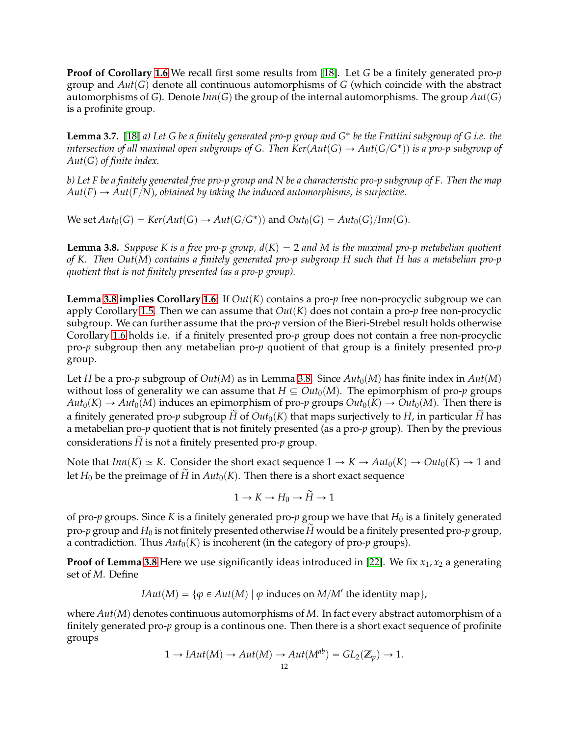**Proof of Corollary [1.6](#page-2-2)** We recall first some results from [\[18\]](#page-13-9). Let *G* be a finitely generated pro-*p* group and  $Aut(G)$  denote all continuous automorphisms of  $G$  (which coincide with the abstract automorphisms of *G*). Denote  $Inn(G)$  the group of the internal automorphisms. The group  $Aut(G)$ is a profinite group.

**Lemma 3.7.** [\[18\]](#page-13-9) *a) Let G be a finitely generated pro-p group and G*˚ *be the Frattini subgroup of G i.e. the*  $\phi$  *intersection of all maximal open subgroups of G. Then*  $Ker(Aut(G) \rightarrow Aut(G/G^*))$  *is a pro-p subgroup of*  $Aut(G)$  of finite index.

*b) Let F be a finitely generated free pro-p group and N be a characteristic pro-p subgroup of F. Then the map*  $Aut(F) \rightarrow Aut(F/N)$ , obtained by taking the induced automorphisms, is surjective.

 $\text{We set } Aut_0(G) = \text{Ker}(Aut(G) \to Aut(G/G^*)) \text{ and } Out_0(G) = \text{Aut}_0(G)/\text{Inn}(G).$ 

<span id="page-11-0"></span>**Lemma 3.8.** *Suppose K is a free pro-p group,*  $d(K) = 2$  *and* M is the maximal pro-p metabelian quotient *of K. Then Out*(*M*) contains a finitely generated pro-p subgroup H such that H has a metabelian pro-p *quotient that is not finitely presented (as a pro-p group).*

**Lemma** [3.8](#page-11-0) **implies Corollary** [1.6:](#page-2-2) If  $Out(K)$  contains a pro-*p* free non-procyclic subgroup we can apply Corollary [1.5.](#page-2-0) Then we can assume that  $Out(K)$  does not contain a pro-*p* free non-procyclic subgroup. We can further assume that the pro-*p* version of the Bieri-Strebel result holds otherwise Corollary [1.6](#page-2-2) holds i.e. if a finitely presented pro-*p* group does not contain a free non-procyclic pro-*p* subgroup then any metabelian pro-*p* quotient of that group is a finitely presented pro-*p* group.

Let *H* be a pro-*p* subgroup of  $Out(M)$  as in Lemma [3.8.](#page-11-0) Since  $Aut_0(M)$  has finite index in  $Aut(M)$ without loss of generality we can assume that  $H \subseteq Out_0(M)$ . The epimorphism of pro-*p* groups  $Aut_0(K) \to Aut_0(M)$  induces an epimorphism of pro-*p* groups  $Out_0(K) \to Out_0(M)$ . Then there is a finitely generated pro-*p* subgroup  $\widetilde{H}$  of  $Out_0(K)$  that maps surjectively to *H*, in particular  $\widetilde{H}$  has a metabelian pro-*p* quotient that is not finitely presented (as a pro-*p* group). Then by the previous considerations  $\tilde{H}$  is not a finitely presented pro- $p$  group.

Note that  $Inn(K) \simeq K$ . Consider the short exact sequence  $1 \rightarrow K \rightarrow Aut_0(K) \rightarrow Out_0(K) \rightarrow 1$  and let  $H_0$  be the preimage of  $\widetilde{H}$  in  $Aut_0(K)$ . Then there is a short exact sequence

$$
1 \to K \to H_0 \to \widetilde{H} \to 1
$$

of pro-*p* groups. Since *K* is a finitely generated pro-*p* group we have that  $H_0$  is a finitely generated pro-*p* group and  $H_0$  is not finitely presented otherwise  $\tilde{H}$  would be a finitely presented pro-*p* group, a contradiction. Thus  $Aut_0(K)$  is incoherent (in the category of pro-*p* groups).

**Proof of Lemma [3.8](#page-11-0)** Here we use significantly ideas introduced in [\[22\]](#page-13-16). We fix  $x_1$ ,  $x_2$  a generating set of *M*. Define

 $IAut(M) = \{ \varphi \in Aut(M) \mid \varphi \text{ induces on } M/M' \text{ the identity map} \},$ 

where  $Aut(M)$  denotes continuous automorphisms of *M*. In fact every abstract automorphism of a finitely generated pro-*p* group is a continous one. Then there is a short exact sequence of profinite groups

$$
1 \to IAut(M) \to Aut(M) \to Aut(M^{ab}) = GL_2(\mathbb{Z}_p) \to 1.
$$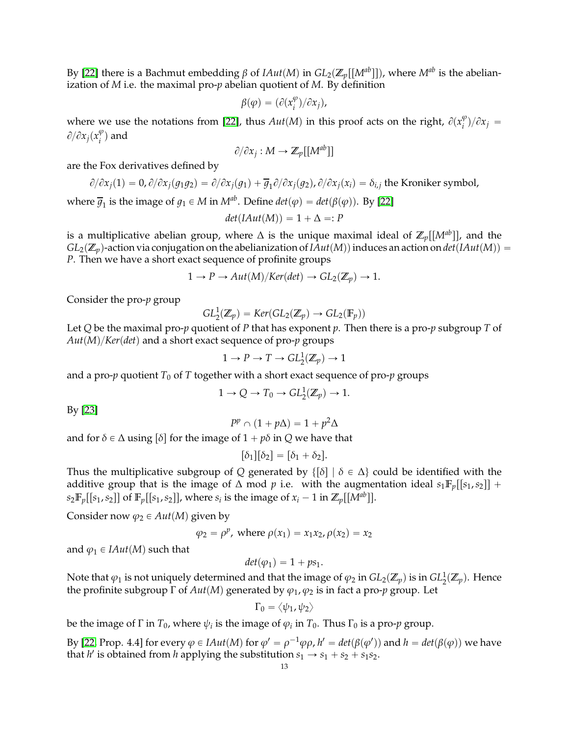By [\[22\]](#page-13-16) there is a Bachmut embedding *β* of *IAut*(*M*) in *GL*<sub>2</sub>( $\mathbb{Z}_p[[M^{ab}]]$ ), where *M*<sup>*ab*</sup> is the abelianization of *M* i.e. the maximal pro-*p* abelian quotient of *M*. By definition

$$
\beta(\varphi) = (\partial(x_i^{\varphi})/\partial x_j),
$$

where we use the notations from [\[22\]](#page-13-16), thus  $Aut(M)$  in this proof acts on the right,  $\partial(x_i^{\varphi})$  $_{i}^{\varphi})/\partial x_{j} =$  $\partial/\partial x_j(x_j^{\varphi})$  $_{i}^{\varphi}$ ) and

$$
\partial/\partial x_j: M \to \mathbb{Z}_p[[M^{ab}]]
$$

are the Fox derivatives defined by

$$
\partial/\partial x_j(1) = 0, \partial/\partial x_j(g_1g_2) = \partial/\partial x_j(g_1) + \overline{g}_1 \partial/\partial x_j(g_2), \partial/\partial x_j(x_i) = \delta_{i,j}
$$
 the Kroniker symbol,

where  $\overline{g}_1$  is the image of  $g_1 \in M$  in  $M^{ab}$ . Define  $det(\varphi) = det(\beta(\varphi))$ . By [\[22\]](#page-13-16)

$$
det(IAut(M)) = 1 + \Delta =: P
$$

is a multiplicative abelian group, where  $\Delta$  is the unique maximal ideal of  $\mathbb{Z}_p[[M^{ab}]]$ , and the  $GL_2(\mathbb{Z}_p)$ -action via conjugation on the abelianization of *IAut*(*M*)) induces an action on *det*(*IAut*(*M*)) = *P*. Then we have a short exact sequence of profinite groups

$$
1 \to P \to Aut(M)/Ker(det) \to GL_2(\mathbb{Z}_p) \to 1.
$$

Consider the pro-*p* group

$$
GL_2^1(\mathbb{Z}_p) = Ker(GL_2(\mathbb{Z}_p) \to GL_2(\mathbb{F}_p))
$$

Let *Q* be the maximal pro-*p* quotient of *P* that has exponent *p*. Then there is a pro-*p* subgroup *T* of  $Aut(M)/Ker(det)$  and a short exact sequence of pro-*p* groups

$$
1 \to P \to T \to GL_2^1(\mathbb{Z}_p) \to 1
$$

and a pro-*p* quotient  $T_0$  of  $T$  together with a short exact sequence of pro-*p* groups

$$
1 \to Q \to T_0 \to GL_2^1(\mathbb{Z}_p) \to 1.
$$

By [\[23\]](#page-14-0)

$$
P^p \cap (1 + p\Delta) = 1 + p^2\Delta
$$

and for  $\delta \in \Delta$  using  $[\delta]$  for the image of  $1 + p\delta$  in *Q* we have that

$$
[\delta_1][\delta_2] = [\delta_1 + \delta_2].
$$

Thus the multiplicative subgroup of *Q* generated by  $\{\lceil \delta \rceil \mid \delta \in \Delta\}$  could be identified with the additive group that is the image of  $\Delta$  mod  $p$  i.e. with the augmentation ideal  $s_1 \mathbb{F}_p[[s_1,s_2]] +$  $s_2 \mathbb{F}_p[[s_1, s_2]]$  of  $\mathbb{F}_p[[s_1, s_2]]$ , where  $s_i$  is the image of  $x_i - 1$  in  $\mathbb{Z}_p[[M^{ab}]]$ .

Consider now  $\varphi_2 \in Aut(M)$  given by

$$
\varphi_2 = \rho^p
$$
, where  $\rho(x_1) = x_1 x_2$ ,  $\rho(x_2) = x_2$ 

and  $\varphi_1 \in IAut(M)$  such that

$$
det(\varphi_1)=1+ps_1.
$$

Note that  $\varphi_1$  is not uniquely determined and that the image of  $\varphi_2$  in  $GL_2(\mathbb{Z}_p)$  is in  $GL_2^1(\mathbb{Z}_p)$ . Hence the profinite subgroup Γ of  $Aut(M)$  generated by  $\varphi_1$ ,  $\varphi_2$  is in fact a pro-*p* group. Let

$$
\Gamma_0=\left<\psi_1,\psi_2\right>
$$

be the image of  $\Gamma$  in  $T_0$ , where  $\psi_i$  is the image of  $\varphi_i$  in  $T_0$ . Thus  $\Gamma_0$  is a pro- $p$  group.

By [\[22,](#page-13-16) Prop. 4.4] for every  $\varphi \in IAut(M)$  for  $\varphi' = \rho^{-1}\varphi\rho$ ,  $h' = det(\beta(\varphi'))$  and  $h = det(\beta(\varphi))$  we have that *h'* is obtained from *h* applying the substitution  $s_1 \rightarrow s_1 + s_2 + s_1 s_2$ .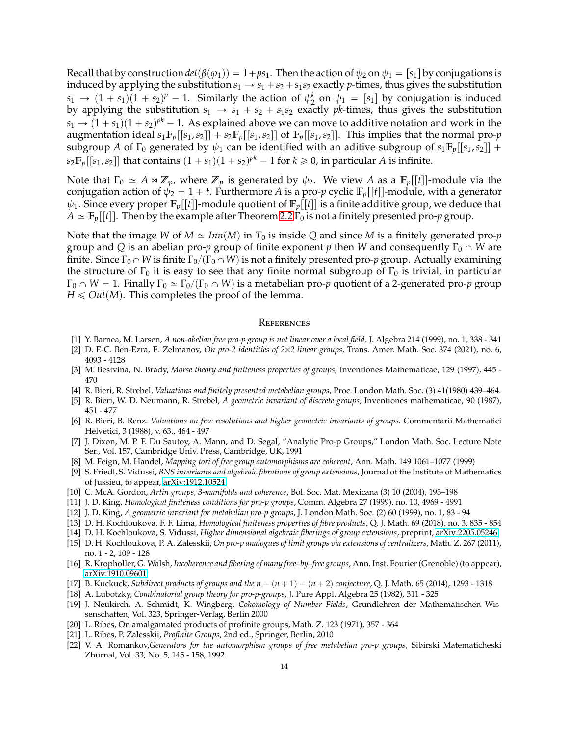Recall that by construction  $det(\beta(\varphi_1)) = 1 + ps_1$ . Then the action of  $\psi_2$  on  $\psi_1 = [s_1]$  by conjugations is induced by applying the substitution  $s_1 \rightarrow s_1 + s_2 + s_1 s_2$  exactly *p*-times, thus gives the substitution  $s_1 \rightarrow (1 + s_1)(1 + s_2)^p - 1$ . Similarly the action of  $\psi_2^k$  $\psi_2^k$  on  $\psi_1 = [s_1]$  by conjugation is induced by applying the substitution  $s_1 \rightarrow s_1 + s_2 + s_1 s_2$  exactly *pk*-times, thus gives the substitution  $s_1 \rightarrow (1 + s_1)(1 + s_2)^{pk} - 1$ . As explained above we can move to additive notation and work in the augmentation ideal  $s_1 \mathbb{F}_p[[s_1,s_2]] + s_2 \mathbb{F}_p[[s_1,s_2]]$  of  $\mathbb{F}_p[[s_1,s_2]]$ . This implies that the normal pro-*p* subgroup *A* of  $\Gamma_0$  generated by  $\psi_1$  can be identified with an aditive subgroup of  $s_1 \mathbb{F}_p[[s_1, s_2]] +$  $s_2 \mathbb{F}_p[[s_1, s_2]]$  that contains  $(1 + s_1)(1 + s_2)^{pk} - 1$  for  $k \geq 0$ , in particular *A* is infinite.

Note that  $\Gamma_0 \simeq A \rtimes \mathbb{Z}_p$ , where  $\mathbb{Z}_p$  is generated by  $\psi_2$ . We view *A* as a  $\mathbb{F}_p[[t]]$ -module via the conjugation action of  $\psi_2 = 1 + t$ . Furthermore *A* is a pro-*p* cyclic  $\mathbb{F}_p[[t]]$ -module, with a generator  $\psi_1$ . Since every proper  $\mathbb{F}_p[[t]]$ -module quotient of  $\mathbb{F}_p[[t]]$  is a finite additive group, we deduce that  $A \simeq \mathbb{F}_p[[t]]$ . Then by the example after Theorem [2.2](#page-3-0)  $\Gamma_0$  is not a finitely presented pro-*p* group.

Note that the image *W* of  $M \simeq \text{Inn}(M)$  in  $T_0$  is inside *Q* and since *M* is a finitely generated pro-*p* group and *Q* is an abelian pro-*p* group of finite exponent *p* then *W* and consequently  $\Gamma_0 \cap W$  are finite. Since  $\Gamma_0 \cap W$  is finite  $\Gamma_0/(\Gamma_0 \cap W)$  is not a finitely presented pro-*p* group. Actually examining the structure of  $\Gamma_0$  it is easy to see that any finite normal subgroup of  $\Gamma_0$  is trivial, in particular  $\Gamma_0 \cap W = 1$ . Finally  $\Gamma_0 \simeq \Gamma_0/(\Gamma_0 \cap W)$  is a metabelian pro-*p* quotient of a 2-generated pro-*p* group  $H \leqslant Out(M)$ . This completes the proof of the lemma.

#### **REFERENCES**

- <span id="page-13-13"></span><span id="page-13-12"></span>[1] Y. Barnea, M. Larsen, *A non-abelian free pro-p group is not linear over a local field,* J. Algebra 214 (1999), no. 1, 338 - 341
- <span id="page-13-0"></span>[2] D. E-C. Ben-Ezra, E. Zelmanov, *On pro-2 identities of 2*×*2 linear groups*, Trans. Amer. Math. Soc. 374 (2021), no. 6, 4093 - 4128
- <span id="page-13-14"></span>[3] M. Bestvina, N. Brady, *Morse theory and finiteness properties of groups,* Inventiones Mathematicae, 129 (1997), 445 - 470
- <span id="page-13-4"></span>[4] R. Bieri, R. Strebel, *Valuations and finitely presented metabelian groups*, Proc. London Math. Soc. (3) 41(1980) 439–464.
- <span id="page-13-5"></span>[5] R. Bieri, W. D. Neumann, R. Strebel, *A geometric invariant of discrete groups,* Inventiones mathematicae, 90 (1987), 451 - 477
- [6] R. Bieri, B. Renz. *Valuations on free resolutions and higher geometric invariants of groups.* Commentarii Mathematici Helvetici, 3 (1988), v. 63., 464 - 497
- <span id="page-13-11"></span>[7] J. Dixon, M. P. F. Du Sautoy, A. Mann, and D. Segal, "Analytic Pro-p Groups," London Math. Soc. Lecture Note Ser., Vol. 157, Cambridge Univ. Press, Cambridge, UK, 1991
- <span id="page-13-7"></span><span id="page-13-2"></span>[8] M. Feign, M. Handel, *Mapping tori of free group automorphisms are coherent*, Ann. Math. 149 1061–1077 (1999)
- [9] S. Friedl, S. Vidussi, *BNS invariants and algebraic fibrations of group extensions*, Journal of the Institute of Mathematics of Jussieu, to appear, [arXiv:1912.10524](http://arxiv.org/abs/1912.10524)
- <span id="page-13-10"></span><span id="page-13-6"></span>[10] C. McA. Gordon, *Artin groups, 3-manifolds and coherence*, Bol. Soc. Mat. Mexicana (3) 10 (2004), 193–198
- <span id="page-13-15"></span>[11] J. D. King, *Homological finiteness conditions for pro-p groups*, Comm. Algebra 27 (1999), no. 10, 4969 - 4991
- <span id="page-13-19"></span>[12] J. D. King, *A geometric invariant for metabelian pro-p groups*, J. London Math. Soc. (2) 60 (1999), no. 1, 83 - 94
- <span id="page-13-1"></span>[13] D. H. Kochloukova, F. F. Lima, *Homological finiteness properties of fibre products*, Q. J. Math. 69 (2018), no. 3, 835 - 854
- <span id="page-13-8"></span>[14] D. H. Kochloukova, S. Vidussi, *Higher dimensional algebraic fiberings of group extensions*, preprint, [arXiv:2205.05246](http://arxiv.org/abs/2205.05246)
- [15] D. H. Kochloukova, P. A. Zalesskii, *On pro-p analogues of limit groups via extensions of centralizers,* Math. Z. 267 (2011), no. 1 - 2, 109 - 128
- <span id="page-13-3"></span>[16] R. Kropholler, G. Walsh, *Incoherence and fibering of many free–by–free groups*, Ann. Inst. Fourier (Grenoble) (to appear), [arXiv:1910.09601](http://arxiv.org/abs/1910.09601)
- <span id="page-13-18"></span><span id="page-13-9"></span>[17] B. Kuckuck, *Subdirect products of groups and the*  $n - (n + 1) - (n + 2)$  *conjecture*, Q. J. Math. 65 (2014), 1293 - 1318
- [18] A. Lubotzky, *Combinatorial group theory for pro-p-groups*, J. Pure Appl. Algebra 25 (1982), 311 325
- [19] J. Neukirch, A. Schmidt, K. Wingberg, *Cohomology of Number Fields*, Grundlehren der Mathematischen Wissenschaften, Vol. 323, Springer-Verlag, Berlin 2000
- <span id="page-13-20"></span><span id="page-13-17"></span>[20] L. Ribes, On amalgamated products of profinite groups, Math. Z. 123 (1971), 357 - 364
- <span id="page-13-16"></span>[21] L. Ribes, P. Zalesskii, *Profinite Groups*, 2nd ed., Springer, Berlin, 2010
- [22] V. A. Romankov,*Generators for the automorphism groups of free metabelian pro-p groups*, Sibirski Matematicheski Zhurnal, Vol. 33, No. 5, 145 - 158, 1992